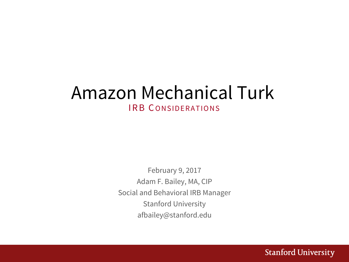## Amazon Mechanical Turk IRB CONSIDERATIONS

February 9, 2017 Adam F. Bailey, MA, CIP Social and Behavioral IRB Manager Stanford University afbailey@stanford.edu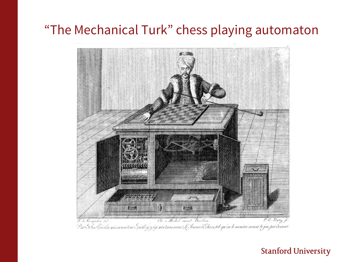## "The Mechanical Turk" chess playing automaton

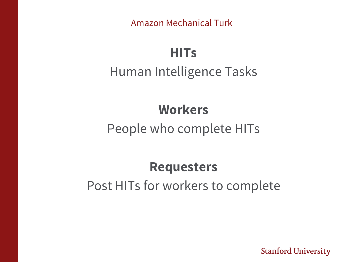# **HITs** Human Intelligence Tasks

## **Workers**

## People who complete HITs

# **Requesters** Post HITs for workers to complete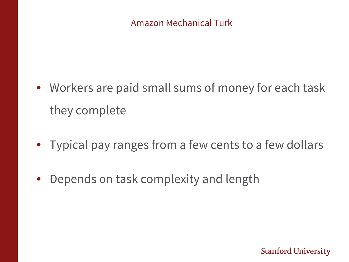- Workers are paid small sums of money for each task they complete
- Typical pay ranges from a few cents to a few dollars
- Depends on task complexity and length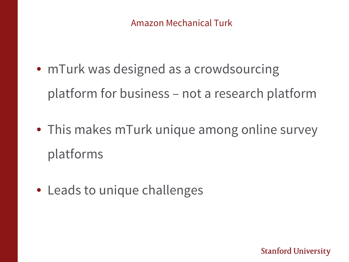- mTurk was designed as a crowdsourcing platform for business – not a research platform
- This makes mTurk unique among online survey platforms
- Leads to unique challenges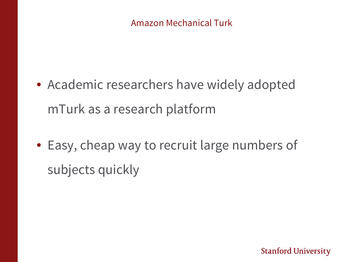- Academic researchers have widely adopted mTurk as a research platform
- Easy, cheap way to recruit large numbers of subjects quickly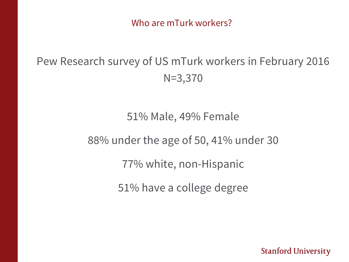Who are mTurk workers?

## Pew Research survey of US mTurk workers in February 2016 N=3,370

51% Male, 49% Female

88% under the age of 50, 41% under 30

77% white, non-Hispanic

51% have a college degree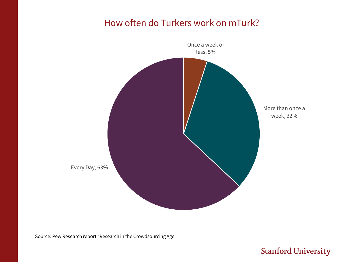#### How often do Turkers work on mTurk?



Source: Pew Research report "Research in the Crowdsourcing Age"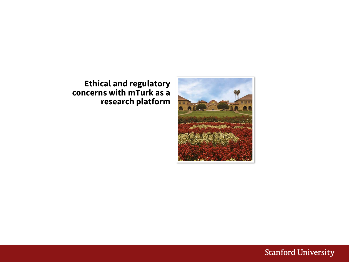

#### **Ethical and regulatory concerns with mTurk as a research platform**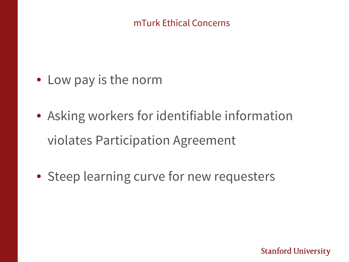#### mTurk Ethical Concerns

- Low pay is the norm
- Asking workers for identifiable information violates Participation Agreement
- Steep learning curve for new requesters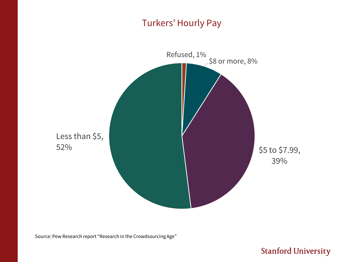#### Turkers' Hourly Pay



Source: Pew Research report "Research in the Crowdsourcing Age"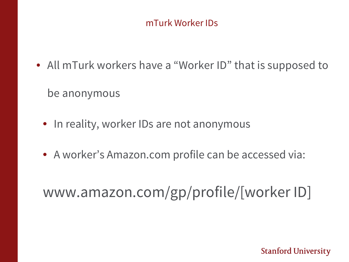#### mTurk Worker IDs

- All mTurk workers have a "Worker ID" that is supposed to be anonymous
	- In reality, worker IDs are not anonymous
	- A worker's Amazon.com profile can be accessed via:

# www.amazon.com/gp/profile/[worker ID]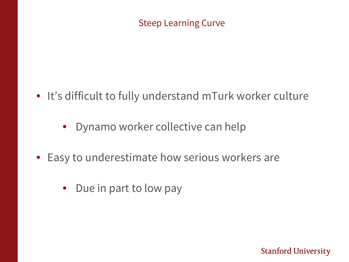Steep Learning Curve

- It's difficult to fully understand mTurk worker culture
	- Dynamo worker collective can help
- Easy to underestimate how serious workers are
	- Due in part to low pay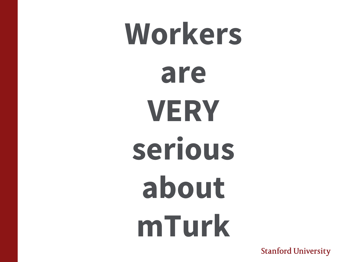# **Workers are VERY serious about mTurk**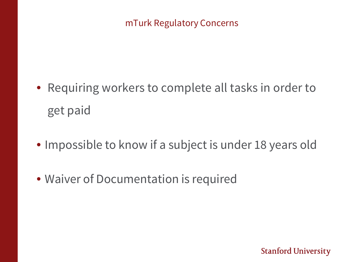## mTurk Regulatory Concerns

- Requiring workers to complete all tasks in order to get paid
- Impossible to know if a subject is under 18 years old
- Waiver of Documentation is required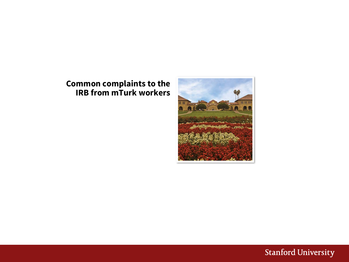#### **Common complaints to the IRB from mTurk workers**



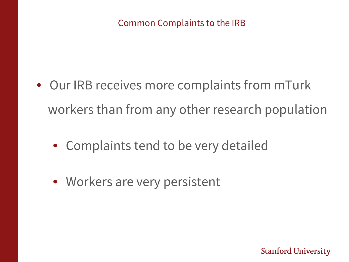#### Common Complaints to the IRB

- Our IRB receives more complaints from mTurk workers than from any other research population
	- Complaints tend to be very detailed
	- Workers are very persistent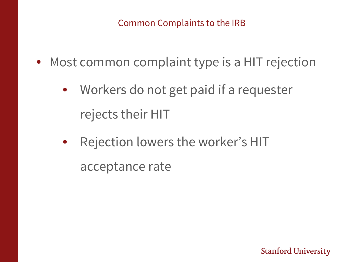#### Common Complaints to the IRB

- Most common complaint type is a HIT rejection
	- Workers do not get paid if a requester rejects their HIT
	- Rejection lowers the worker's HIT acceptance rate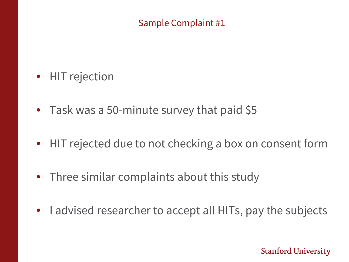### Sample Complaint #1

- HIT rejection
- Task was a 50-minute survey that paid \$5
- HIT rejected due to not checking a box on consent form
- Three similar complaints about this study
- I advised researcher to accept all HITs, pay the subjects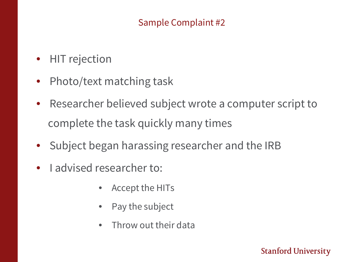## Sample Complaint #2

- HIT rejection
- Photo/text matching task
- Researcher believed subject wrote a computer script to complete the task quickly many times
- Subject began harassing researcher and the IRB
- I advised researcher to:
	- Accept the HITs
	- Pay the subject
	- Throw out their data